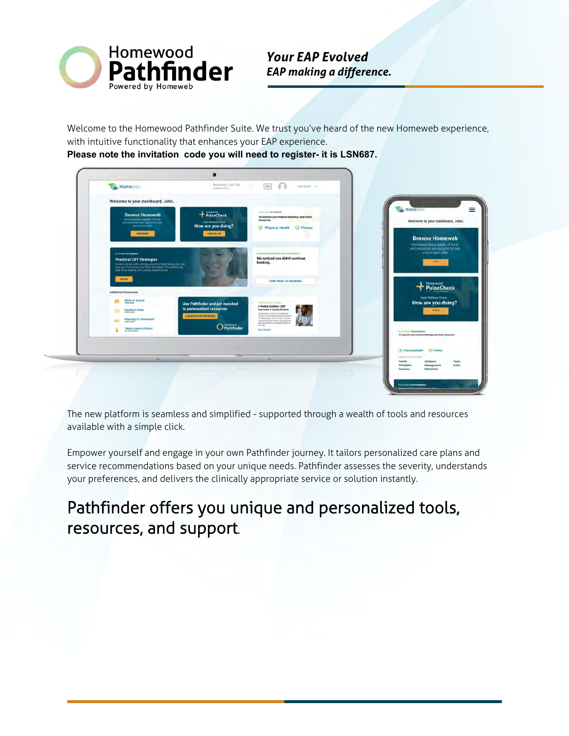

*Your EAP Evolved EAP making a difference.* 

Welcome to the Homewood Pathfinder Suite. We trust you've heard of the new Homeweb experience, with intuitive functionality that enhances your EAP experience.

**Please note the invitation code you will need to register- it is LSN687.**

|                                                                                                                                                                                                                                                    | T-800-663-1142                                                                          |                                                                                                                                                                                                                                    |                                                                                                    |
|----------------------------------------------------------------------------------------------------------------------------------------------------------------------------------------------------------------------------------------------------|-----------------------------------------------------------------------------------------|------------------------------------------------------------------------------------------------------------------------------------------------------------------------------------------------------------------------------------|----------------------------------------------------------------------------------------------------|
| Welcome to your dashboard, John.                                                                                                                                                                                                                   |                                                                                         |                                                                                                                                                                                                                                    |                                                                                                    |
| <b>Browse Homeweb</b><br>Homeweb has a wealth of tools<br>and resources and support to help<br>you on your path.<br><b>BROWSE</b>                                                                                                                  | PulseCheck<br><b>Daily Wellmenn Cherck</b><br>How are you doing?<br>CHECK-IN            | <b>IN INCHES BECOMMENT</b><br>To improve your mental wellbeing read these<br>résources.<br><b>S</b> Physical Health <b>S</b> Fitness                                                                                               | Homeweb<br>Welcome to your dashboard, John.<br><b>Browse Homeweb</b>                               |
| <b>иличеств и промышлен</b><br><b>Practical CBT Strategies</b><br>Anciety comes with a strong, uncomfortable fairing that can<br>keep you from living your life to the fullest. This article may<br>help those dealing with anxiety related issues |                                                                                         | Horsesod Pathfinder Recommendation<br>We noticed you didn't continue<br>booking.                                                                                                                                                   | Homeweb has a wealth of tools<br>and resources and support to help.<br>you on your path.<br>$\sim$ |
| READ<br><b>Additional Resources</b>                                                                                                                                                                                                                |                                                                                         | <b>CONTINUE TO BOOKING</b>                                                                                                                                                                                                         | Homewood<br><b>PulseCheck</b><br>Daily Wellness Check                                              |
| Myths of Anxiety<br>6)<br><b>Breathe to Relax</b><br>4 SIMM VISING<br><b>Preparing for Retirement</b><br>$-10$                                                                                                                                     | Use Pathfinder and get matched<br>to personalized resources<br><b>LAUNCH PATHFINDER</b> | ant Are and Engrany<br>i-Volve Online CBT<br>Depression & Anxiety Modules<br>Welcome to i Volve, Homevisions<br>centine, sant pacent reservent program<br>for depression and around. In these<br>unprecedented limes, many pinsons | How are you doing?<br><b>SOFT</b>                                                                  |
| <b>Taking Control of Mood</b>                                                                                                                                                                                                                      | Pathfinder                                                                              | are expeniencing increased levels of<br>texanty.<br>View Ortada                                                                                                                                                                    | <b>INTERNATIONAL PROGRAMMENTS</b><br>To improve your mental wellbeing read these resources.        |
|                                                                                                                                                                                                                                                    |                                                                                         |                                                                                                                                                                                                                                    | <b>ST. Physical Health</b><br><b>SO Filmess</b><br>ASSEED ALARMAN                                  |
|                                                                                                                                                                                                                                                    |                                                                                         |                                                                                                                                                                                                                                    | Childcare<br>Family<br>Tools<br>Workplack<br>Management<br><b>Crists</b><br>Finances<br>Retirement |

The new platform is seamless and simplified - supported through a wealth of tools and resources available with a simple click.

Empower yourself and engage in your own Pathfinder journey. It tailors personalized care plans and service recommendations based on your unique needs. Pathfinder assesses the severity, understands your preferences, and delivers the clinically appropriate service or solution instantly.

# Pathfinder offers you unique and personalized tools, resources, and support.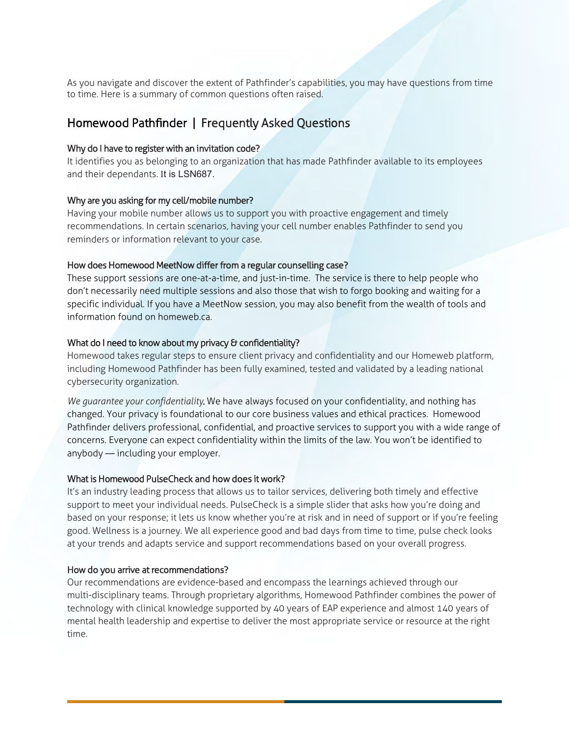As you navigate and discover the extent of Pathfinder's capabilities, you may have questions from time to time. Here is a summary of common questions often raised.

## Homewood Pathfinder | Frequently Asked Questions

#### Why do I have to register with an invitation code?

It identifies you as belonging to an organization that has made Pathfinder available to its employees and their dependants. It is LSN687.

#### Why are you asking for my cell/mobile number?

Having your mobile number allows us to support you with proactive engagement and timely recommendations. In certain scenarios, having your cell number enables Pathfinder to send you reminders or information relevant to your case.

#### How does Homewood MeetNow differ from a regular counselling case?

These support sessions are one-at-a-time, and just-in-time. The service is there to help people who don't necessarily need multiple sessions and also those that wish to forgo booking and waiting for a specific individual. If you have a MeetNow session, you may also benefit from the wealth of tools and information found on homeweb.ca.

### What do I need to know about my privacy & confidentiality?

Homewood takes regular steps to ensure client privacy and confidentiality and our Homeweb platform, including Homewood Pathfinder has been fully examined, tested and validated by a leading national cybersecurity organization.

*We guarantee your confidentiality*. We have always focused on your confidentiality, and nothing has changed. Your privacy is foundational to our core business values and ethical practices. Homewood Pathfinder delivers professional, confidential, and proactive services to support you with a wide range of concerns. Everyone can expect confidentiality within the limits of the law. You won't be identified to anybody — including your employer.

#### What is Homewood PulseCheck and how does it work?

It's an industry leading process that allows us to tailor services, delivering both timely and effective support to meet your individual needs. PulseCheck is a simple slider that asks how you're doing and based on your response; it lets us know whether you're at risk and in need of support or if you're feeling good. Wellness is a journey. We all experience good and bad days from time to time, pulse check looks at your trends and adapts service and support recommendations based on your overall progress.

### How do you arrive at recommendations?

Our recommendations are evidence-based and encompass the learnings achieved through our multi-disciplinary teams. Through proprietary algorithms, Homewood Pathfinder combines the power of technology with clinical knowledge supported by 40 years of EAP experience and almost 140 years of mental health leadership and expertise to deliver the most appropriate service or resource at the right time.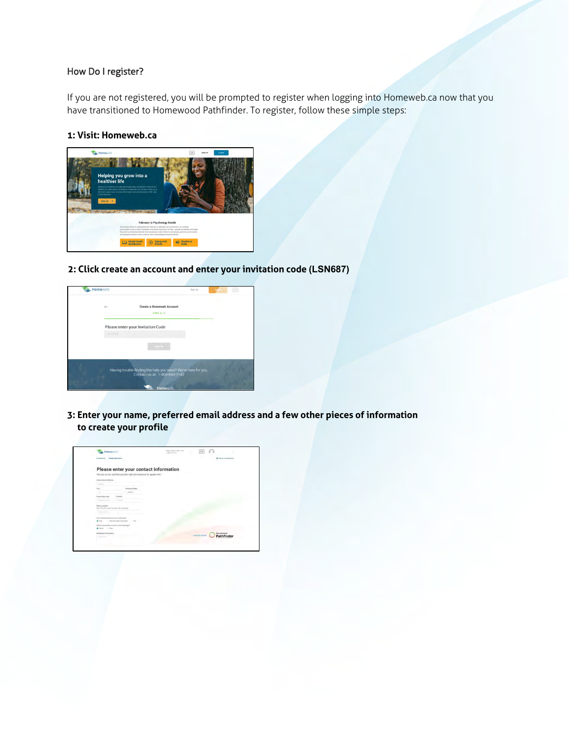#### How Do I register?

If you are not registered, you will be prompted to register when logging into Homeweb.ca now that you have transitioned to Homewood Pathfinder. To register, follow these simple steps:

#### **1: Visit: Homeweb.ca**



**2: Click create an account and enter your invitation code (LSN687)**



**3: Enter your name, preferred email address and a few other pieces of information to create your profile**

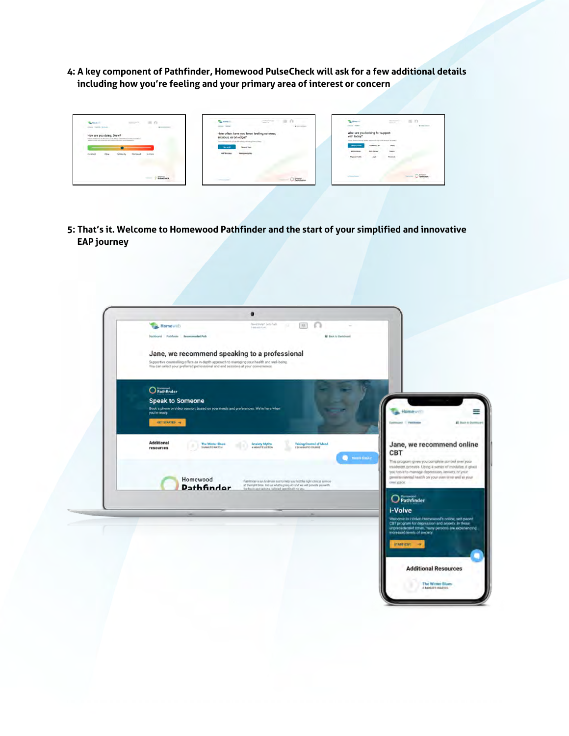**4: A key component of Pathfinder, Homewood PulseCheck will ask for a few additional details including how you're feeling and your primary area of interest or concern**



**5: That's it. Welcome to Homewood Pathfinder and the start of your simplified and innovative EAP journey**

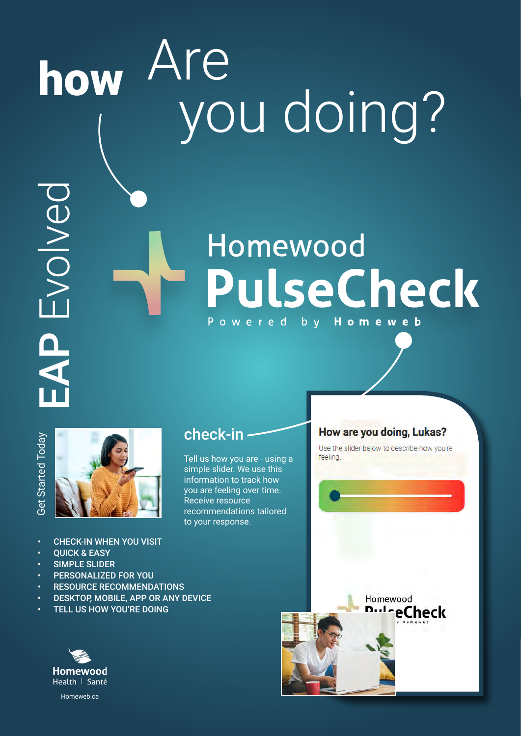# how Are you doing?

# Homewood PulseCheck Powered by **Homeweb**



EAP Evolved

DEVOIVED



- CHECK-IN WHEN YOU VISIT
- **OUICK & EASY**
- SIMPLE SLIDER
- PERSONALIZED FOR YOU
- **RESOURCE RECOMMENDATIONS**
- DESKTOP, MOBILE, APP OR ANY DEVICE
- **TELL US HOW YOU'RE DOING**



## check-in

Tell us how you are - using a simple slider. We use this information to track how you are feeling over time. Receive resource recommendations tailored to your response.

## How are you doing, Lukas?

Use the slider below to describe how you're feeling.

Homewood

**DulceCheck**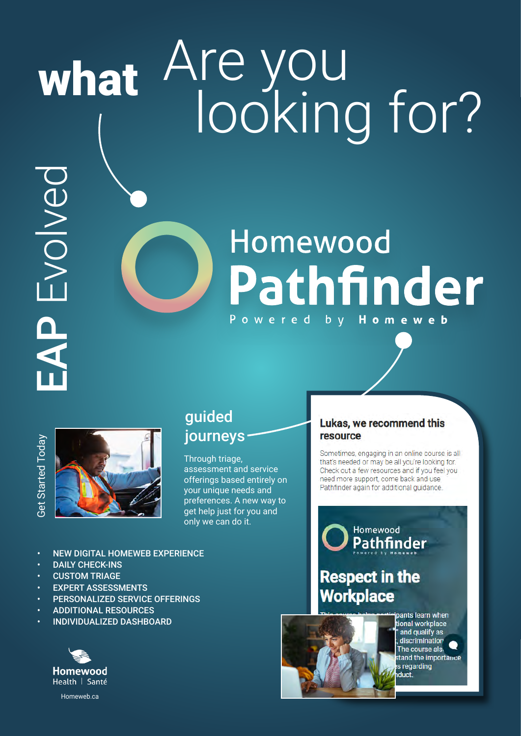# what Are you looking for?

Homewood

Powered

Pathfinder

 $b \ y$ 

resource

# Homewood<br>Homewood Homewood<br>Homewood Homewood<br>Homewood<br>Homewood<br>Homewood<br>Homewood<br>Homewood<br>Homewood **AP Evolved**



## guided journeys

Through triage, assessment and service offerings based entirely on your unique needs and preferences. A new way to get help just for you and only we can do it.

- NEW DIGITAL HOMEWEB EXPERIENCE
- DAILY CHECK-INS
- **CUSTOM TRIAGE**
- **EXPERT ASSESSMENTS**
- PERSONALIZED SERVICE OFFERINGS
- ADDITIONAL RESOURCES
- INDIVIDUALIZED DASHBOARD



pants learn when .<br>tional workplace and qualify as discrimination The course als. tand the importance s regarding duct.



Lukas, we recommend this

Sometimes, engaging in an online course is all that's needed or may be all you're looking for. Check out a few resources and if you feel you need more support, come back and use Pathfinder again for additional quidance.

Homeweb

# **Respect in the Workplace**

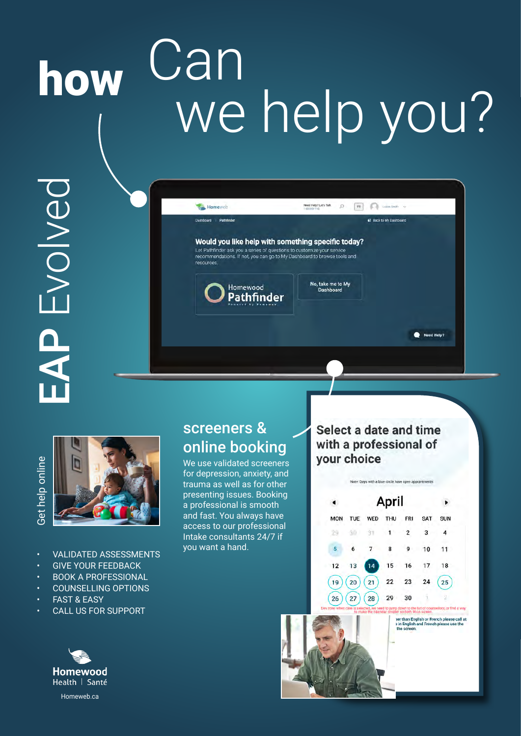# how Can we help you?

Would you like help with something specific today? Let Pathfinder ask you a series of questions to customize your service<br>recommendations. If not, you can go to My Dashboard to browse tools and

Need Help? Let's Talk (

No, take me to My<br>Dashboard

 $\blacktriangleleft$ 

**MON** 

29

5

12

 $(19)$ 

26

TUE

áb

6

 $13$ 

20

 $27$ 

WED

 $\overline{7}$ 

 $14$ 

 $21$ 

28

DEVOIVED EAP Evolved



- VALIDATED ASSESSMENTS
- GIVE YOUR FEEDBACK
- BOOK A PROFESSIONAL
- COUNSELLING OPTIONS
- **FAST & FASY**
- CALL US FOR SUPPORT



## screeners & online booking

Homewood **Pathfinder** 

Homeweb

**Dashboard Pathfinde** 

We use validated screeners for depression, anxiety, and trauma as well as for other presenting issues. Booking a professional is smooth and fast. You always have access to our professional Intake consultants 24/7 if you want a hand.

Select a date and time with a professional of vour choice

Note: Days with a blue circle have open appoint

April

**THU** 

8

15

22

29

 $\boxed{\mathbf{R}}$  Usin Smith  $\sim$ 

**El Back to My Dashboard** 

Need Help?

 $\lambda$ 

SUN

 $\overline{4}$ 

 $11$ 18

25

SAT

3

10

17

 $24$ 

ter than English or French please call at<br>s in English and French please use the

FRI

 $\overline{2}$ 

9

16

 $23$ 

30

the screen